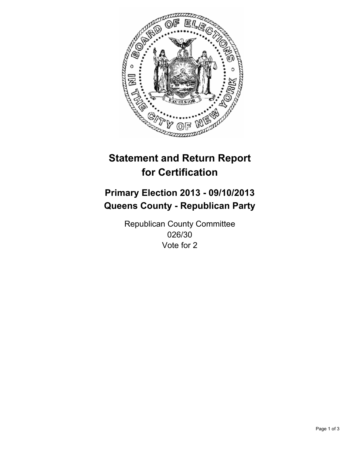

# **Statement and Return Report for Certification**

# **Primary Election 2013 - 09/10/2013 Queens County - Republican Party**

Republican County Committee 026/30 Vote for 2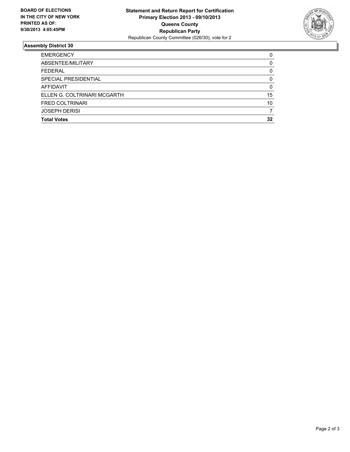

## **Assembly District 30**

| <b>EMERGENCY</b>            | 0            |
|-----------------------------|--------------|
| ABSENTEE/MILITARY           | 0            |
| <b>FEDERAL</b>              | 0            |
| SPECIAL PRESIDENTIAL        | <sup>0</sup> |
| <b>AFFIDAVIT</b>            | 0            |
| ELLEN G. COLTRINARI MCGARTH | 15           |
| <b>FRED COLTRINARI</b>      | 10           |
| <b>JOSEPH DERISI</b>        |              |
| <b>Total Votes</b>          | 32           |